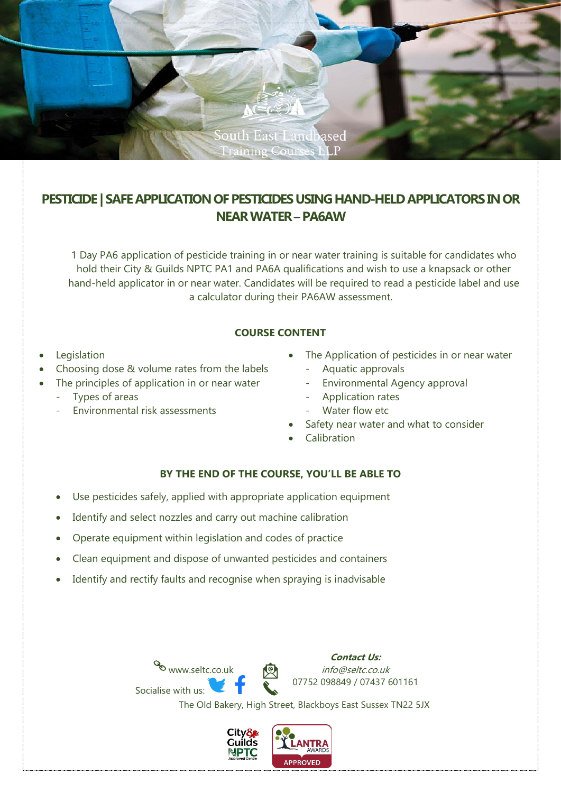

# **PESTICIDE** | SAFE APPLICATION OF PESTICIDES USING HAND-HELD APPLICATORS IN OR **NEAR WATER –PA6AW**

1 Day PA6 application of pesticide training in or near water training is suitable for candidates who hold their City & Guilds NPTC PA1 and PA6A qualifications and wish to use a knapsack or other hand-held applicator in or near water. Candidates will be required to read a pesticide label and use a calculator during their PA6AW assessment.

### **COURSE CONTENT**

- **Legislation**
- Choosing dose & volume rates from the labels
- The principles of application in or near water
	- Types of areas
	- Environmental risk assessments
- The Application of pesticides in or near water
	- Aquatic approvals
	- Environmental Agency approval
	- Application rates
	- Water flow etc
- Safety near water and what to consider
- Calibration

## **BY THE END OF THE COURSE, YOU'LL BE ABLE TO**

- Use pesticides safely, applied with appropriate application equipment
- Identify and select nozzles and carry out machine calibration
- Operate equipment within legislation and codes of practice
- Clean equipment and dispose of unwanted pesticides and containers
- Identify and rectify faults and recognise when spraying is inadvisable